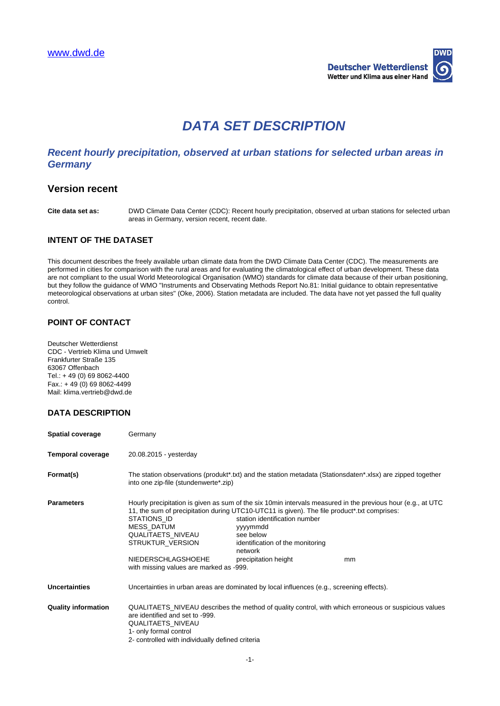

# **DATA SET DESCRIPTION**

# **Recent hourly precipitation, observed at urban stations for selected urban areas in Germany**

# **Version recent**

**Cite data set as:** DWD Climate Data Center (CDC): Recent hourly precipitation, observed at urban stations for selected urban areas in Germany, version recent, recent date.

#### **INTENT OF THE DATASET**

This document describes the freely available urban climate data from the DWD Climate Data Center (CDC). The measurements are performed in cities for comparison with the rural areas and for evaluating the climatological effect of urban development. These data are not compliant to the usual World Meteorological Organisation (WMO) standards for climate data because of their urban positioning, but they follow the guidance of WMO "Instruments and Observating Methods Report No.81: Initial guidance to obtain representative meteorological observations at urban sites" (Oke, 2006). Station metadata are included. The data have not yet passed the full quality control.

#### **POINT OF CONTACT**

Deutscher Wetterdienst CDC - Vertrieb Klima und Umwelt Frankfurter Straße 135 63067 Offenbach Tel.: + 49 (0) 69 8062-4400 Fax.: + 49 (0) 69 8062-4499 Mail: klima.vertrieb@dwd.de

## **DATA DESCRIPTION**

| <b>Spatial coverage</b>    | Germany                                                                                                                                                                                                                                                                                                                                                         |                                                                                                                               |    |
|----------------------------|-----------------------------------------------------------------------------------------------------------------------------------------------------------------------------------------------------------------------------------------------------------------------------------------------------------------------------------------------------------------|-------------------------------------------------------------------------------------------------------------------------------|----|
| <b>Temporal coverage</b>   | 20.08.2015 - yesterday                                                                                                                                                                                                                                                                                                                                          |                                                                                                                               |    |
| Format(s)                  | The station observations (produkt*.txt) and the station metadata (Stationsdaten*.xlsx) are zipped together<br>into one zip-file (stundenwerte*.zip)                                                                                                                                                                                                             |                                                                                                                               |    |
| <b>Parameters</b>          | Hourly precipitation is given as sum of the six 10min intervals measured in the previous hour (e.g., at UTC<br>11, the sum of precipitation during UTC10-UTC11 is given). The file product*.txt comprises:<br>STATIONS ID<br><b>MESS DATUM</b><br>QUALITAETS NIVEAU<br>STRUKTUR VERSION<br><b>NIEDERSCHLAGSHOEHE</b><br>with missing values are marked as -999. | station identification number<br>yyyymmdd<br>see below<br>identification of the monitoring<br>network<br>precipitation height | mm |
| <b>Uncertainties</b>       | Uncertainties in urban areas are dominated by local influences (e.g., screening effects).                                                                                                                                                                                                                                                                       |                                                                                                                               |    |
| <b>Quality information</b> | QUALITAETS_NIVEAU describes the method of quality control, with which erroneous or suspicious values<br>are identified and set to -999.<br><b>QUALITAETS NIVEAU</b><br>1- only formal control<br>2- controlled with individually defined criteria                                                                                                               |                                                                                                                               |    |